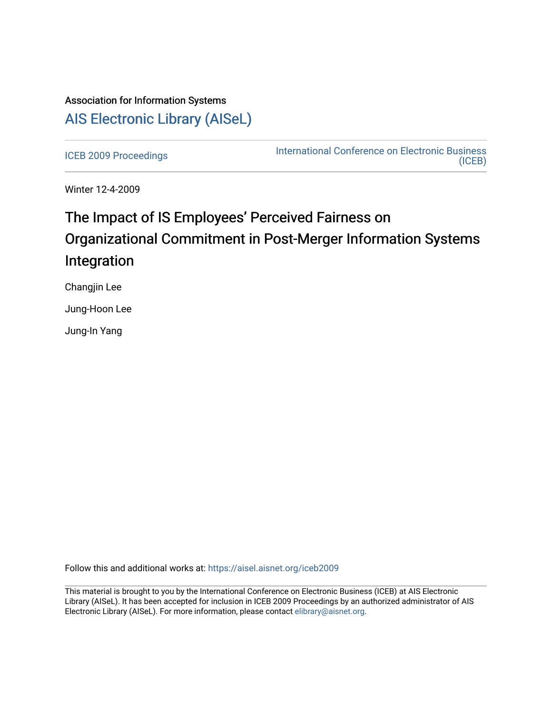# Association for Information Systems [AIS Electronic Library \(AISeL\)](https://aisel.aisnet.org/)

[ICEB 2009 Proceedings](https://aisel.aisnet.org/iceb2009) **International Conference on Electronic Business** [\(ICEB\)](https://aisel.aisnet.org/iceb) 

Winter 12-4-2009

# The Impact of IS Employees' Perceived Fairness on Organizational Commitment in Post-Merger Information Systems Integration

Changjin Lee

Jung-Hoon Lee

Jung-In Yang

Follow this and additional works at: [https://aisel.aisnet.org/iceb2009](https://aisel.aisnet.org/iceb2009?utm_source=aisel.aisnet.org%2Ficeb2009%2F66&utm_medium=PDF&utm_campaign=PDFCoverPages)

This material is brought to you by the International Conference on Electronic Business (ICEB) at AIS Electronic Library (AISeL). It has been accepted for inclusion in ICEB 2009 Proceedings by an authorized administrator of AIS Electronic Library (AISeL). For more information, please contact [elibrary@aisnet.org.](mailto:elibrary@aisnet.org%3E)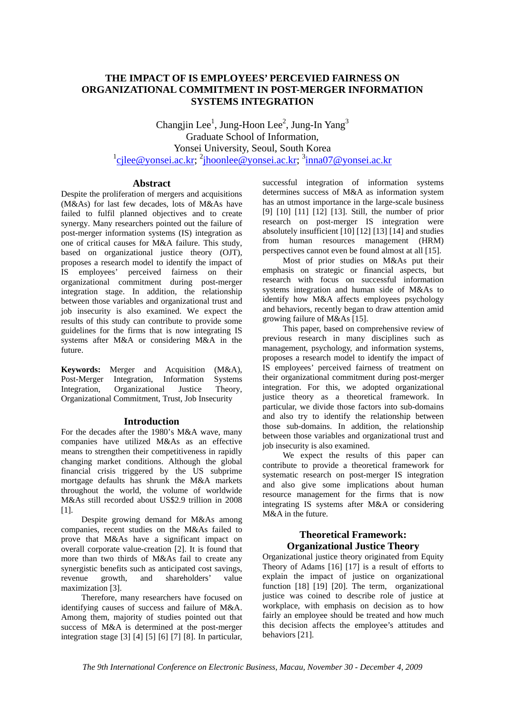# **THE IMPACT OF IS EMPLOYEES' PERCEVIED FAIRNESS ON ORGANIZATIONAL COMMITMENT IN POST-MERGER INFORMATION SYSTEMS INTEGRATION**

Changjin Lee<sup>1</sup>, Jung-Hoon Lee<sup>2</sup>, Jung-In Yang<sup>3</sup> Graduate School of Information, Yonsei University, Seoul, South Korea <sup>1</sup>cjlee@yonsei.ac.kr; <sup>2</sup>jhoonlee@yonsei.ac.kr; <sup>3</sup>inna07@yonsei.ac.kr

# **Abstract**

Despite the proliferation of mergers and acquisitions (M&As) for last few decades, lots of M&As have failed to fulfil planned objectives and to create synergy. Many researchers pointed out the failure of post-merger information systems (IS) integration as one of critical causes for M&A failure. This study, based on organizational justice theory (OJT), proposes a research model to identify the impact of IS employees' perceived fairness on their organizational commitment during post-merger integration stage. In addition, the relationship between those variables and organizational trust and job insecurity is also examined. We expect the results of this study can contribute to provide some guidelines for the firms that is now integrating IS systems after M&A or considering M&A in the future.

**Keywords:** Merger and Acquisition (M&A), Post-Merger Integration, Information Systems Integration, Organizational Justice Theory, Organizational Commitment, Trust, Job Insecurity

# **Introduction**

For the decades after the 1980's M&A wave, many companies have utilized M&As as an effective means to strengthen their competitiveness in rapidly changing market conditions. Although the global financial crisis triggered by the US subprime mortgage defaults has shrunk the M&A markets throughout the world, the volume of worldwide M&As still recorded about US\$2.9 trillion in 2008 [1].

Despite growing demand for M&As among companies, recent studies on the M&As failed to prove that M&As have a significant impact on overall corporate value-creation [2]. It is found that more than two thirds of M&As fail to create any synergistic benefits such as anticipated cost savings, revenue growth, and shareholders' value maximization [3].

Therefore, many researchers have focused on identifying causes of success and failure of M&A. Among them, majority of studies pointed out that success of M&A is determined at the post-merger integration stage [3] [4] [5] [6] [7] [8]. In particular,

successful integration of information systems determines success of M&A as information system has an utmost importance in the large-scale business [9] [10] [11] [12] [13]. Still, the number of prior research on post-merger IS integration were absolutely insufficient [10] [12] [13] [14] and studies from human resources management (HRM) perspectives cannot even be found almost at all [15].

Most of prior studies on M&As put their emphasis on strategic or financial aspects, but research with focus on successful information systems integration and human side of M&As to identify how M&A affects employees psychology and behaviors, recently began to draw attention amid growing failure of M&As [15].

This paper, based on comprehensive review of previous research in many disciplines such as management, psychology, and information systems, proposes a research model to identify the impact of IS employees' perceived fairness of treatment on their organizational commitment during post-merger integration. For this, we adopted organizational justice theory as a theoretical framework. In particular, we divide those factors into sub-domains and also try to identify the relationship between those sub-domains. In addition, the relationship between those variables and organizational trust and job insecurity is also examined.

We expect the results of this paper can contribute to provide a theoretical framework for systematic research on post-merger IS integration and also give some implications about human resource management for the firms that is now integrating IS systems after M&A or considering M&A in the future.

# **Theoretical Framework: Organizational Justice Theory**

Organizational justice theory originated from Equity Theory of Adams [16] [17] is a result of efforts to explain the impact of justice on organizational function [18] [19] [20]. The term, organizational justice was coined to describe role of justice at workplace, with emphasis on decision as to how fairly an employee should be treated and how much this decision affects the employee's attitudes and behaviors [21].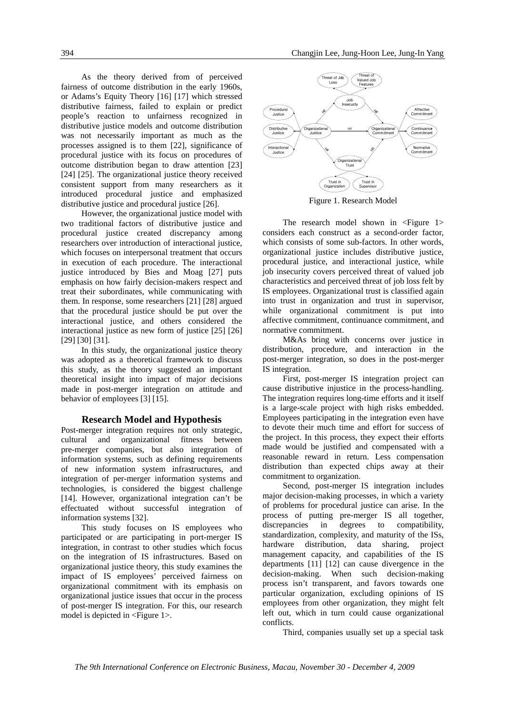As the theory derived from of perceived fairness of outcome distribution in the early 1960s, or Adams's Equity Theory [16] [17] which stressed distributive fairness, failed to explain or predict people's reaction to unfairness recognized in distributive justice models and outcome distribution was not necessarily important as much as the processes assigned is to them [22], significance of procedural justice with its focus on procedures of outcome distribution began to draw attention [23] [24] [25]. The organizational justice theory received consistent support from many researchers as it introduced procedural justice and emphasized distributive justice and procedural justice [26].

However, the organizational justice model with two traditional factors of distributive justice and procedural justice created discrepancy among researchers over introduction of interactional justice, which focuses on interpersonal treatment that occurs in execution of each procedure. The interactional justice introduced by Bies and Moag [27] puts emphasis on how fairly decision-makers respect and treat their subordinates, while communicating with them. In response, some researchers [21] [28] argued that the procedural justice should be put over the interactional justice, and others considered the interactional justice as new form of justice [25] [26] [29] [30] [31].

In this study, the organizational justice theory was adopted as a theoretical framework to discuss this study, as the theory suggested an important theoretical insight into impact of major decisions made in post-merger integration on attitude and behavior of employees [3] [15].

#### **Research Model and Hypothesis**

Post-merger integration requires not only strategic, cultural and organizational fitness between pre-merger companies, but also integration of information systems, such as defining requirements of new information system infrastructures, and integration of per-merger information systems and technologies, is considered the biggest challenge [14]. However, organizational integration can't be effectuated without successful integration of information systems [32].

This study focuses on IS employees who participated or are participating in port-merger IS integration, in contrast to other studies which focus on the integration of IS infrastructures. Based on organizational justice theory, this study examines the impact of IS employees' perceived fairness on organizational commitment with its emphasis on organizational justice issues that occur in the process of post-merger IS integration. For this, our research model is depicted in <Figure 1>.



Figure 1. Research Model

The research model shown in  $\leq$  Figure 1> considers each construct as a second-order factor, which consists of some sub-factors. In other words, organizational justice includes distributive justice, procedural justice, and interactional justice, while job insecurity covers perceived threat of valued job characteristics and perceived threat of job loss felt by IS employees. Organizational trust is classified again into trust in organization and trust in supervisor, while organizational commitment is put into affective commitment, continuance commitment, and normative commitment.

M&As bring with concerns over justice in distribution, procedure, and interaction in the post-merger integration, so does in the post-merger IS integration.

First, post-merger IS integration project can cause distributive injustice in the process-handling. The integration requires long-time efforts and it itself is a large-scale project with high risks embedded. Employees participating in the integration even have to devote their much time and effort for success of the project. In this process, they expect their efforts made would be justified and compensated with a reasonable reward in return. Less compensation distribution than expected chips away at their commitment to organization.

Second, post-merger IS integration includes major decision-making processes, in which a variety of problems for procedural justice can arise. In the process of putting pre-merger IS all together, discrepancies in degrees to compatibility, standardization, complexity, and maturity of the ISs, hardware distribution, data sharing, project management capacity, and capabilities of the IS departments [11] [12] can cause divergence in the decision-making. When such decision-making process isn't transparent, and favors towards one particular organization, excluding opinions of IS employees from other organization, they might felt left out, which in turn could cause organizational conflicts.

Third, companies usually set up a special task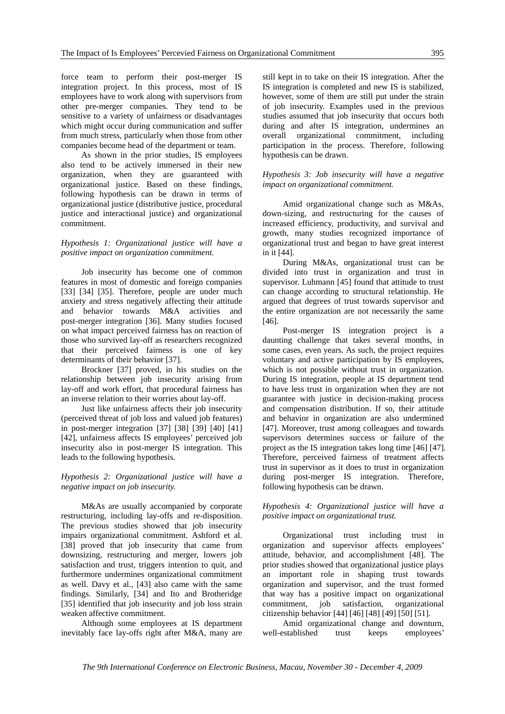force team to perform their post-merger IS integration project. In this process, most of IS employees have to work along with supervisors from other pre-merger companies. They tend to be sensitive to a variety of unfairness or disadvantages which might occur during communication and suffer from much stress, particularly when those from other companies become head of the department or team.

As shown in the prior studies, IS employees also tend to be actively immersed in their new organization, when they are guaranteed with organizational justice. Based on these findings, following hypothesis can be drawn in terms of organizational justice (distributive justice, procedural justice and interactional justice) and organizational commitment.

## *Hypothesis 1: Organizational justice will have a positive impact on organization commitment.*

Job insecurity has become one of common features in most of domestic and foreign companies [33] [34] [35]. Therefore, people are under much anxiety and stress negatively affecting their attitude and behavior towards M&A activities and post-merger integration [36]. Many studies focused on what impact perceived fairness has on reaction of those who survived lay-off as researchers recognized that their perceived fairness is one of key determinants of their behavior [37].

Brockner [37] proved, in his studies on the relationship between job insecurity arising from lay-off and work effort, that procedural fairness has an inverse relation to their worries about lay-off.

Just like unfairness affects their job insecurity (perceived threat of job loss and valued job features) in post-merger integration [37] [38] [39] [40] [41] [42], unfairness affects IS employees' perceived job insecurity also in post-merger IS integration. This leads to the following hypothesis.

# *Hypothesis 2: Organizational justice will have a negative impact on job insecurity.*

M&As are usually accompanied by corporate restructuring, including lay-offs and re-disposition. The previous studies showed that job insecurity impairs organizational commitment. Ashford et al. [38] proved that job insecurity that came from downsizing, restructuring and merger, lowers job satisfaction and trust, triggers intention to quit, and furthermore undermines organizational commitment as well. Davy et al., [43] also came with the same findings. Similarly, [34] and Ito and Brotheridge [35] identified that job insecurity and job loss strain weaken affective commitment.

Although some employees at IS department inevitably face lay-offs right after M&A, many are

still kept in to take on their IS integration. After the IS integration is completed and new IS is stabilized, however, some of them are still put under the strain of job insecurity. Examples used in the previous studies assumed that job insecurity that occurs both during and after IS integration, undermines an overall organizational commitment, including participation in the process. Therefore, following hypothesis can be drawn.

# *Hypothesis 3: Job insecurity will have a negative impact on organizational commitment.*

Amid organizational change such as M&As, down-sizing, and restructuring for the causes of increased efficiency, productivity, and survival and growth, many studies recognized importance of organizational trust and began to have great interest in it [44].

During M&As, organizational trust can be divided into trust in organization and trust in supervisor. Luhmann [45] found that attitude to trust can change according to structural relationship. He argued that degrees of trust towards supervisor and the entire organization are not necessarily the same [46].

Post-merger IS integration project is a daunting challenge that takes several months, in some cases, even years. As such, the project requires voluntary and active participation by IS employees, which is not possible without trust in organization. During IS integration, people at IS department tend to have less trust in organization when they are not guarantee with justice in decision-making process and compensation distribution. If so, their attitude and behavior in organization are also undermined [47]. Moreover, trust among colleagues and towards supervisors determines success or failure of the project as the IS integration takes long time [46] [47]. Therefore, perceived fairness of treatment affects trust in supervisor as it does to trust in organization during post-merger IS integration. Therefore, following hypothesis can be drawn.

# *Hypothesis 4: Organizational justice will have a positive impact on organizational trust.*

Organizational trust including trust in organization and supervisor affects employees' attitude, behavior, and accomplishment [48]. The prior studies showed that organizational justice plays an important role in shaping trust towards organization and supervisor, and the trust formed that way has a positive impact on organizational commitment, job satisfaction, organizational citizenship behavior [44] [46] [48] [49] [50] [51].

Amid organizational change and downturn, well-established trust keeps employees'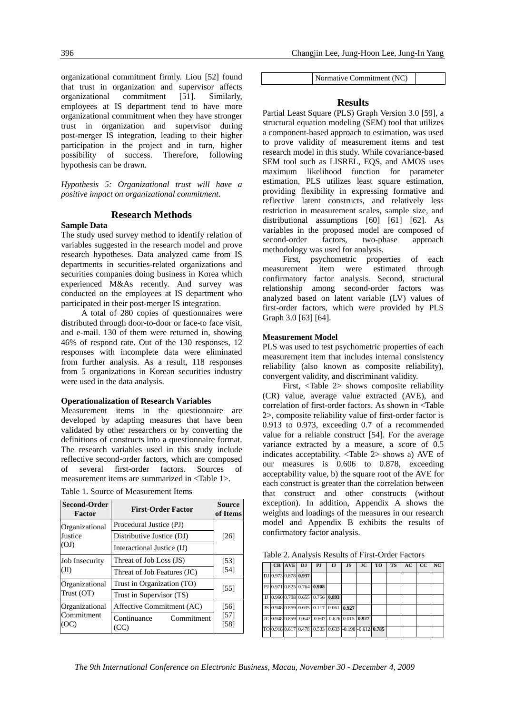organizational commitment firmly. Liou [52] found that trust in organization and supervisor affects organizational commitment [51]. Similarly, employees at IS department tend to have more organizational commitment when they have stronger trust in organization and supervisor during post-merger IS integration, leading to their higher participation in the project and in turn, higher possibility of success. Therefore, following hypothesis can be drawn.

*Hypothesis 5: Organizational trust will have a positive impact on organizational commitment*.

# **Research Methods**

### **Sample Data**

The study used survey method to identify relation of variables suggested in the research model and prove research hypotheses. Data analyzed came from IS departments in securities-related organizations and securities companies doing business in Korea which experienced M&As recently. And survey was conducted on the employees at IS department who participated in their post-merger IS integration.

A total of 280 copies of questionnaires were distributed through door-to-door or face-to face visit, and e-mail. 130 of them were returned in, showing 46% of respond rate. Out of the 130 responses, 12 responses with incomplete data were eliminated from further analysis. As a result, 118 responses from 5 organizations in Korean securities industry were used in the data analysis.

#### **Operationalization of Research Variables**

Measurement items in the questionnaire are developed by adapting measures that have been validated by other researchers or by converting the definitions of constructs into a questionnaire format. The research variables used in this study include reflective second-order factors, which are composed of several first-order factors. Sources of measurement items are summarized in <Table 1>.

| <b>Second-Order</b><br>Factor | <b>First-Order Factor</b>         | <b>Source</b><br>of Items |  |  |
|-------------------------------|-----------------------------------|---------------------------|--|--|
| Organizational                | Procedural Justice (PJ)           |                           |  |  |
| Justice                       | Distributive Justice (DJ)         | $[26]$                    |  |  |
| (OJ)                          | Interactional Justice (IJ)        |                           |  |  |
| Job Insecurity                | Threat of Job Loss (JS)           | [53]                      |  |  |
| (JI)                          | Threat of Job Features (JC)       | [54]                      |  |  |
| Organizational                | Trust in Organization (TO)        |                           |  |  |
| Trust (OT)                    | Trust in Supervisor (TS)          | [55]                      |  |  |
| Organizational                | Affective Commitment (AC)         | [56]                      |  |  |
| Commitment<br>(OC)            | Continuance<br>Commitment<br>(CC) | $[57]$<br>[58]            |  |  |

|  |  | Table 1. Source of Measurement Items |  |
|--|--|--------------------------------------|--|
|--|--|--------------------------------------|--|

Normative Commitment (NC)

# **Results**

Partial Least Square (PLS) Graph Version 3.0 [59], a structural equation modeling (SEM) tool that utilizes a component-based approach to estimation, was used to prove validity of measurement items and test research model in this study. While covariance-based SEM tool such as LISREL, EQS, and AMOS uses maximum likelihood function for parameter estimation, PLS utilizes least square estimation, providing flexibility in expressing formative and reflective latent constructs, and relatively less restriction in measurement scales, sample size, and distributional assumptions [60] [61] [62]. As variables in the proposed model are composed of second-order factors, two-phase approach methodology was used for analysis.

First, psychometric properties of each measurement item were estimated through confirmatory factor analysis. Second, structural relationship among second-order factors was analyzed based on latent variable (LV) values of first-order factors, which were provided by PLS Graph 3.0 [63] [64].

# **Measurement Model**

PLS was used to test psychometric properties of each measurement item that includes internal consistency reliability (also known as composite reliability), convergent validity, and discriminant validity.

First, <Table 2> shows composite reliability (CR) value, average value extracted (AVE), and correlation of first-order factors. As shown in <Table 2>, composite reliability value of first-order factor is 0.913 to 0.973, exceeding 0.7 of a recommended value for a reliable construct [54]. For the average variance extracted by a measure, a score of 0.5 indicates acceptability. <Table 2> shows a) AVE of our measures is 0.606 to 0.878, exceeding acceptability value, b) the square root of the AVE for each construct is greater than the correlation between that construct and other constructs (without exception). In addition, Appendix A shows the weights and loadings of the measures in our research model and Appendix B exhibits the results of confirmatory factor analysis.

Table 2. Analysis Results of First-Order Factors

|  | CR AVE DJ                        | P.I | $\mathbf{I}$                                    | JS | JC | <b>TO</b>                                            | <b>TS</b> | AC | cc | NC |
|--|----------------------------------|-----|-------------------------------------------------|----|----|------------------------------------------------------|-----------|----|----|----|
|  | DJ 0.973 0.878 0.937             |     |                                                 |    |    |                                                      |           |    |    |    |
|  | PJ 0.971 0.825 0.764 0.908       |     |                                                 |    |    |                                                      |           |    |    |    |
|  | IJ 0.960 0.798 0.655 0.756 0.893 |     |                                                 |    |    |                                                      |           |    |    |    |
|  |                                  |     | JS 0.948 0.859 0.035 0.117 0.061 0.927          |    |    |                                                      |           |    |    |    |
|  |                                  |     | JC 0.948 0.859 -0.642 -0.607 -0.626 0.015 0.927 |    |    |                                                      |           |    |    |    |
|  |                                  |     |                                                 |    |    | TO 0.918 0.617 0.478 0.533 0.633 -0.198 -0.612 0.785 |           |    |    |    |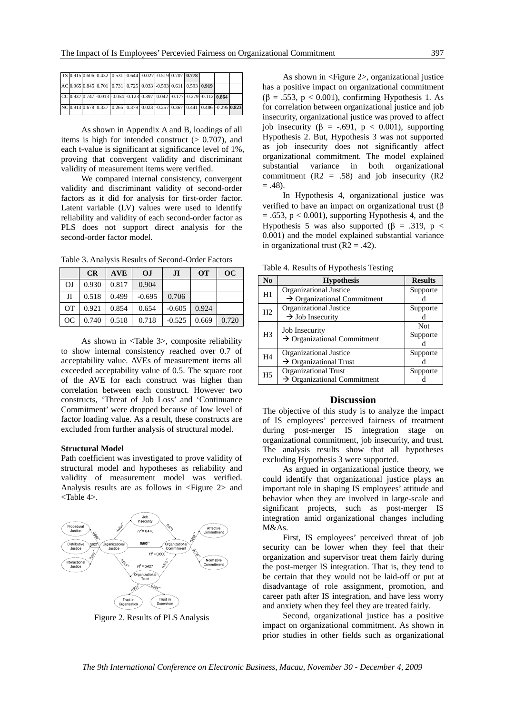|  |  | TS 0.915 0.606 0.432 0.531 0.644 -0.027 -0.519 0.707 0.778                   |  |  |  |  |
|--|--|------------------------------------------------------------------------------|--|--|--|--|
|  |  | AC 0.965 0.845 0.701 0.731 0.725 0.033 -0.593 0.611 0.593 0.919              |  |  |  |  |
|  |  | CC 0.937 0.747 -0.013 -0.054 -0.123 0.397 0.042 -0.177 -0.279 -0.112 0.864   |  |  |  |  |
|  |  | NC 0.913 0.678 0.337 0.265 0.379 0.023 -0.257 0.367 0.441 0.486 -0.295 0.823 |  |  |  |  |

As shown in Appendix A and B, loadings of all items is high for intended construct  $(> 0.707)$ , and each t-value is significant at significance level of 1%, proving that convergent validity and discriminant validity of measurement items were verified.

We compared internal consistency, convergent validity and discriminant validity of second-order factors as it did for analysis for first-order factor. Latent variable (LV) values were used to identify reliability and validity of each second-order factor as PLS does not support direct analysis for the second-order factor model.

Table 3. Analysis Results of Second-Order Factors

|                | <b>CR</b>         | <b>AVE</b>    | <b>OJ</b> | J <sub>I</sub> | <b>OT</b> | OC    |
|----------------|-------------------|---------------|-----------|----------------|-----------|-------|
| O <sub>J</sub> | $0.930 \pm 0.817$ |               | 0.904     |                |           |       |
| JI             | 0.518             | 0.499         | $-0.695$  | 0.706          |           |       |
| $\overline{O}$ | 0.921             | 0.854         | 0.654     | $-0.605$       | 0.924     |       |
| OC             | 0.740             | $0.518$ 0.718 |           | $-0.525$       | 0.669     | 0.720 |

As shown in <Table 3>, composite reliability to show internal consistency reached over 0.7 of acceptability value. AVEs of measurement items all exceeded acceptability value of 0.5. The square root of the AVE for each construct was higher than correlation between each construct. However two constructs, 'Threat of Job Loss' and 'Continuance Commitment' were dropped because of low level of factor loading value. As a result, these constructs are excluded from further analysis of structural model.

#### **Structural Model**

Path coefficient was investigated to prove validity of structural model and hypotheses as reliability and validity of measurement model was verified. Analysis results are as follows in <Figure 2> and <Table 4>.



Figure 2. Results of PLS Analysis

As shown in <Figure 2>, organizational justice has a positive impact on organizational commitment  $(\beta = .553, p < 0.001)$ , confirming Hypothesis 1. As for correlation between organizational justice and job insecurity, organizational justice was proved to affect iob insecurity ( $\beta$  = -.691, p < 0.001), supporting Hypothesis 2. But, Hypothesis 3 was not supported as job insecurity does not significantly affect organizational commitment. The model explained substantial variance in both organizational commitment  $(R2 = .58)$  and job insecurity  $(R2)$  $= .48$ ).

In Hypothesis 4, organizational justice was verified to have an impact on organizational trust (β  $= .653$ ,  $p < 0.001$ ), supporting Hypothesis 4, and the Hypothesis 5 was also supported ( $\beta$  = .319, p < 0.001) and the model explained substantial variance in organizational trust  $(R2 = .42)$ .

Table 4. Results of Hypothesis Testing

| N <sub>0</sub> | <b>Hypothesis</b>                       | <b>Results</b> |
|----------------|-----------------------------------------|----------------|
| H1             | Organizational Justice                  | Supporte       |
|                | $\rightarrow$ Organizational Commitment |                |
| H <sub>2</sub> | Organizational Justice                  | Supporte       |
|                | $\rightarrow$ Job Insecurity            |                |
|                | Job Insecurity                          | <b>Not</b>     |
| H <sub>3</sub> | $\rightarrow$ Organizational Commitment | Supporte       |
|                |                                         |                |
| H4             | Organizational Justice                  | Supporte       |
|                | $\rightarrow$ Organizational Trust      |                |
| H <sub>5</sub> | <b>Organizational Trust</b>             | Supporte       |
|                | $\rightarrow$ Organizational Commitment |                |

#### **Discussion**

The objective of this study is to analyze the impact of IS employees' perceived fairness of treatment during post-merger IS integration stage on organizational commitment, job insecurity, and trust. The analysis results show that all hypotheses excluding Hypothesis 3 were supported.

As argued in organizational justice theory, we could identify that organizational justice plays an important role in shaping IS employees' attitude and behavior when they are involved in large-scale and significant projects, such as post-merger IS integration amid organizational changes including M&As.

First, IS employees' perceived threat of job security can be lower when they feel that their organization and supervisor treat them fairly during the post-merger IS integration. That is, they tend to be certain that they would not be laid-off or put at disadvantage of role assignment, promotion, and career path after IS integration, and have less worry and anxiety when they feel they are treated fairly.

Second, organizational justice has a positive impact on organizational commitment. As shown in prior studies in other fields such as organizational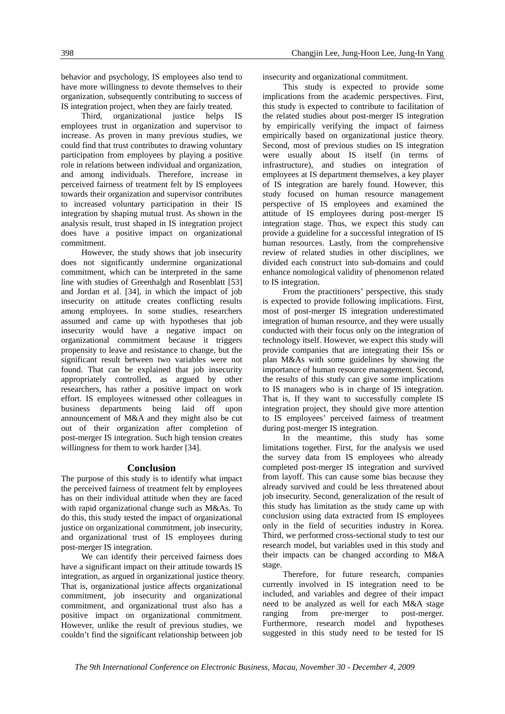behavior and psychology, IS employees also tend to have more willingness to devote themselves to their organization, subsequently contributing to success of IS integration project, when they are fairly treated.

Third, organizational justice helps IS employees trust in organization and supervisor to increase. As proven in many previous studies, we could find that trust contributes to drawing voluntary participation from employees by playing a positive role in relations between individual and organization, and among individuals. Therefore, increase in perceived fairness of treatment felt by IS employees towards their organization and supervisor contributes to increased voluntary participation in their IS integration by shaping mutual trust. As shown in the analysis result, trust shaped in IS integration project does have a positive impact on organizational commitment.

However, the study shows that job insecurity does not significantly undermine organizational commitment, which can be interpreted in the same line with studies of Greenhalgh and Rosenblatt [53] and Jordan et al. [34], in which the impact of job insecurity on attitude creates conflicting results among employees. In some studies, researchers assumed and came up with hypotheses that job insecurity would have a negative impact on organizational commitment because it triggers propensity to leave and resistance to change, but the significant result between two variables were not found. That can be explained that job insecurity appropriately controlled, as argued by other researchers, has rather a positive impact on work effort. IS employees witnessed other colleagues in business departments being laid off upon announcement of M&A and they might also be cut out of their organization after completion of post-merger IS integration. Such high tension creates willingness for them to work harder [34].

#### **Conclusion**

The purpose of this study is to identify what impact the perceived fairness of treatment felt by employees has on their individual attitude when they are faced with rapid organizational change such as M&As. To do this, this study tested the impact of organizational justice on organizational commitment, job insecurity, and organizational trust of IS employees during post-merger IS integration.

We can identify their perceived fairness does have a significant impact on their attitude towards IS integration, as argued in organizational justice theory. That is, organizational justice affects organizational commitment, job insecurity and organizational commitment, and organizational trust also has a positive impact on organizational commitment. However, unlike the result of previous studies, we couldn't find the significant relationship between job

insecurity and organizational commitment.

This study is expected to provide some implications from the academic perspectives. First, this study is expected to contribute to facilitation of the related studies about post-merger IS integration by empirically verifying the impact of fairness empirically based on organizational justice theory. Second, most of previous studies on IS integration were usually about IS itself (in terms of infrastructure), and studies on integration of employees at IS department themselves, a key player of IS integration are barely found. However, this study focused on human resource management perspective of IS employees and examined the attitude of IS employees during post-merger IS integration stage. Thus, we expect this study can provide a guideline for a successful integration of IS human resources. Lastly, from the comprehensive review of related studies in other disciplines, we divided each construct into sub-domains and could enhance nomological validity of phenomenon related to IS integration.

From the practitioners' perspective, this study is expected to provide following implications. First, most of post-merger IS integration underestimated integration of human resource, and they were usually conducted with their focus only on the integration of technology itself. However, we expect this study will provide companies that are integrating their ISs or plan M&As with some guidelines by showing the importance of human resource management. Second, the results of this study can give some implications to IS managers who is in charge of IS integration. That is, If they want to successfully complete IS integration project, they should give more attention to IS employees' perceived fairness of treatment during post-merger IS integration.

In the meantime, this study has some limitations together. First, for the analysis we used the survey data from IS employees who already completed post-merger IS integration and survived from layoff. This can cause some bias because they already survived and could be less threatened about job insecurity. Second, generalization of the result of this study has limitation as the study came up with conclusion using data extracted from IS employees only in the field of securities industry in Korea. Third, we performed cross-sectional study to test our research model, but variables used in this study and their impacts can be changed according to M&A stage.

Therefore, for future research, companies currently involved in IS integration need to be included, and variables and degree of their impact need to be analyzed as well for each M&A stage ranging from pre-merger to post-merger. Furthermore, research model and hypotheses suggested in this study need to be tested for IS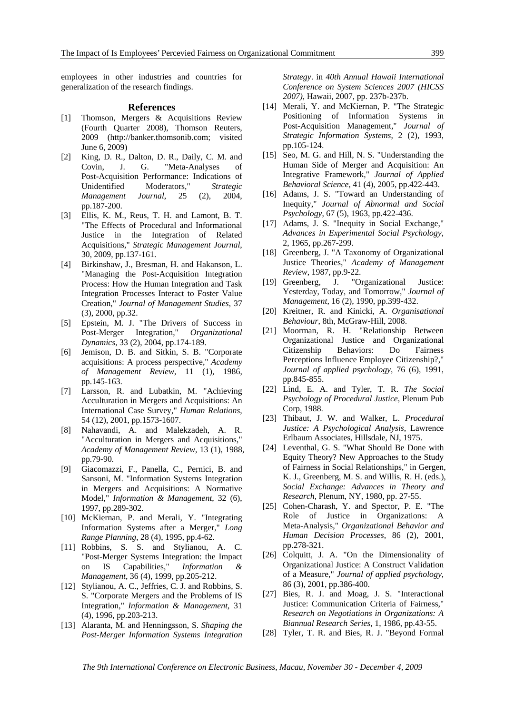employees in other industries and countries for generalization of the research findings.

#### **References**

- [1] Thomson, Mergers & Acquisitions Review (Fourth Quarter 2008), Thomson Reuters, 2009 (http://banker.thomsonib.com; visited June 6, 2009)
- [2] King, D. R., Dalton, D. R., Daily, C. M. and Covin, J. G. "Meta-Analyses of Post-Acquisition Performance: Indications of Unidentified Moderators," *Strategic Management Journal*, 25 (2), 2004, pp.187-200.
- [3] Ellis, K. M., Reus, T. H. and Lamont, B. T. "The Effects of Procedural and Informational Justice in the Integration of Related Acquisitions," *Strategic Management Journal*, 30, 2009, pp.137-161.
- [4] Birkinshaw, J., Bresman, H. and Hakanson, L. "Managing the Post-Acquisition Integration Process: How the Human Integration and Task Integration Processes Interact to Foster Value Creation," *Journal of Management Studies*, 37 (3), 2000, pp.32.
- [5] Epstein, M. J. "The Drivers of Success in Post-Merger Integration," *Organizational Dynamics*, 33 (2), 2004, pp.174-189.
- [6] Jemison, D. B. and Sitkin, S. B. "Corporate acquisitions: A process perspective," *Academy of Management Review*, 11 (1), 1986, pp.145-163.
- [7] Larsson, R. and Lubatkin, M. "Achieving Acculturation in Mergers and Acquisitions: An International Case Survey," *Human Relations*, 54 (12), 2001, pp.1573-1607.
- [8] Nahavandi, A. and Malekzadeh, A. R. "Acculturation in Mergers and Acquisitions," *Academy of Management Review*, 13 (1), 1988, pp.79-90.
- [9] Giacomazzi, F., Panella, C., Pernici, B. and Sansoni, M. "Information Systems Integration in Mergers and Acquisitions: A Normative Model," *Information & Management*, 32 (6), 1997, pp.289-302.
- [10] McKiernan, P. and Merali, Y. "Integrating Information Systems after a Merger," *Long Range Planning*, 28 (4), 1995, pp.4-62.
- [11] Robbins, S. S. and Stylianou, A. C. "Post-Merger Systems Integration: the Impact on IS Capabilities," *Information & Management*, 36 (4), 1999, pp.205-212.
- [12] Stylianou, A. C., Jeffries, C. J. and Robbins, S. S. "Corporate Mergers and the Problems of IS Integration," *Information & Management*, 31 (4), 1996, pp.203-213.
- [13] Alaranta, M. and Henningsson, S. *Shaping the Post-Merger Information Systems Integration*

*Strategy*. in *40th Annual Hawaii International Conference on System Sciences 2007 (HICSS 2007)*, Hawaii, 2007, pp. 237b-237b.

- [14] Merali, Y. and McKiernan, P. "The Strategic Positioning of Information Systems in Post-Acquisition Management," *Journal of Strategic Information Systems*, 2 (2), 1993, pp.105-124.
- [15] Seo, M. G. and Hill, N. S. "Understanding the Human Side of Merger and Acquisition: An Integrative Framework," *Journal of Applied Behavioral Science*, 41 (4), 2005, pp.422-443.
- [16] Adams, J. S. "Toward an Understanding of Inequity," *Journal of Abnormal and Social Psychology*, 67 (5), 1963, pp.422-436.
- [17] Adams, J. S. "Inequity in Social Exchange," *Advances in Experimental Social Psychology*, 2, 1965, pp.267-299.
- [18] Greenberg, J. "A Taxonomy of Organizational Justice Theories," *Academy of Management Review*, 1987, pp.9-22.
- [19] Greenberg, J. "Organizational Justice: Yesterday, Today, and Tomorrow," *Journal of Management*, 16 (2), 1990, pp.399-432.
- [20] Kreitner, R. and Kinicki, A. *Organisational Behaviour*, 8th, McGraw-Hill, 2008.
- [21] Moorman, R. H. "Relationship Between Organizational Justice and Organizational Citizenship Behaviors: Do Fairness Perceptions Influence Employee Citizenship?," *Journal of applied psychology*, 76 (6), 1991, pp.845-855.
- [22] Lind, E. A. and Tyler, T. R. *The Social Psychology of Procedural Justice*, Plenum Pub Corp, 1988.
- [23] Thibaut, J. W. and Walker, L. *Procedural Justice: A Psychological Analysis*, Lawrence Erlbaum Associates, Hillsdale, NJ, 1975.
- [24] Leventhal, G. S. "What Should Be Done with Equity Theory? New Approaches to the Study of Fairness in Social Relationships," in Gergen, K. J., Greenberg, M. S. and Willis, R. H. (eds.), *Social Exchange: Advances in Theory and Research*, Plenum, NY, 1980, pp. 27-55.
- [25] Cohen-Charash, Y. and Spector, P. E. "The Role of Justice in Organizations: A Meta-Analysis," *Organizational Behavior and Human Decision Processes*, 86 (2), 2001, pp.278-321.
- [26] Colquitt, J. A. "On the Dimensionality of Organizational Justice: A Construct Validation of a Measure," *Journal of applied psychology*, 86 (3), 2001, pp.386-400.
- [27] Bies, R. J. and Moag, J. S. "Interactional Justice: Communication Criteria of Fairness," *Research on Negotiations in Organizations: A Biannual Research Series*, 1, 1986, pp.43-55.
- [28] Tyler, T. R. and Bies, R. J. "Beyond Formal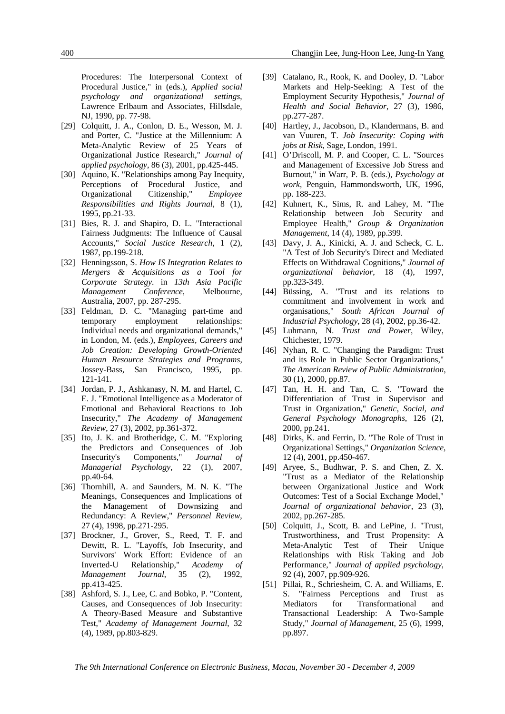Procedures: The Interpersonal Context of Procedural Justice," in (eds.), *Applied social psychology and organizational settings*, Lawrence Erlbaum and Associates, Hillsdale, NJ, 1990, pp. 77-98.

- [29] Colquitt, J. A., Conlon, D. E., Wesson, M. J. and Porter, C. "Justice at the Millennium: A Meta-Analytic Review of 25 Years of Organizational Justice Research," *Journal of applied psychology*, 86 (3), 2001, pp.425-445.
- [30] Aquino, K. "Relationships among Pay Inequity, Perceptions of Procedural Justice, and Organizational Citizenship," *Employee Responsibilities and Rights Journal*, 8 (1), 1995, pp.21-33.
- [31] Bies, R. J. and Shapiro, D. L. "Interactional Fairness Judgments: The Influence of Causal Accounts," *Social Justice Research*, 1 (2), 1987, pp.199-218.
- [32] Henningsson, S. *How IS Integration Relates to Mergers & Acquisitions as a Tool for Corporate Strategy*. in *13th Asia Pacific Management Conference*, Melbourne, Australia, 2007, pp. 287-295.
- [33] Feldman, D. C. "Managing part-time and temporary employment relationships: Individual needs and organizational demands," in London, M. (eds.), *Employees, Careers and Job Creation: Developing Growth-Oriented Human Resource Strategies and Programs*, Jossey-Bass, San Francisco, 1995, pp. 121-141.
- [34] Jordan, P. J., Ashkanasy, N. M. and Hartel, C. E. J. "Emotional Intelligence as a Moderator of Emotional and Behavioral Reactions to Job Insecurity," *The Academy of Management Review*, 27 (3), 2002, pp.361-372.
- [35] Ito, J. K. and Brotheridge, C. M. "Exploring the Predictors and Consequences of Job Insecurity's Components," Journal of Insecurity's Components," *Journal of Managerial Psychology*, 22 (1), 2007, pp.40-64.
- [36] Thornhill, A. and Saunders, M. N. K. "The Meanings, Consequences and Implications of the Management of Downsizing and Redundancy: A Review," *Personnel Review*, 27 (4), 1998, pp.271-295.
- [37] Brockner, J., Grover, S., Reed, T. F. and Dewitt, R. L. "Layoffs, Job Insecurity, and Survivors' Work Effort: Evidence of an Inverted-U Relationship," *Academy of Management Journal*, 35 (2), 1992, pp.413-425.
- [38] Ashford, S. J., Lee, C. and Bobko, P. "Content, Causes, and Consequences of Job Insecurity: A Theory-Based Measure and Substantive Test," *Academy of Management Journal*, 32 (4), 1989, pp.803-829.
- [39] Catalano, R., Rook, K. and Dooley, D. "Labor Markets and Help-Seeking: A Test of the Employment Security Hypothesis," *Journal of Health and Social Behavior*, 27 (3), 1986, pp.277-287.
- [40] Hartley, J., Jacobson, D., Klandermans, B. and van Vuuren, T. *Job Insecurity: Coping with jobs at Risk*, Sage, London, 1991.
- [41] O'Driscoll, M. P. and Cooper, C. L. "Sources and Management of Excessive Job Stress and Burnout," in Warr, P. B. (eds.), *Psychology at work*, Penguin, Hammondsworth, UK, 1996, pp. 188-223.
- [42] Kuhnert, K., Sims, R. and Lahey, M. "The Relationship between Job Security and Employee Health," *Group & Organization Management*, 14 (4), 1989, pp.399.
- [43] Davy, J. A., Kinicki, A. J. and Scheck, C. L. "A Test of Job Security's Direct and Mediated Effects on Withdrawal Cognitions," *Journal of organizational behavior*, 18 (4), 1997, pp.323-349.
- [44] Büssing, A. "Trust and its relations to commitment and involvement in work and organisations," *South African Journal of Industrial Psychology*, 28 (4), 2002, pp.36-42.
- [45] Luhmann, N. *Trust and Power*, Wiley, Chichester, 1979.
- [46] Nyhan, R. C. "Changing the Paradigm: Trust and its Role in Public Sector Organizations," *The American Review of Public Administration*, 30 (1), 2000, pp.87.
- [47] Tan, H. H. and Tan, C. S. "Toward the Differentiation of Trust in Supervisor and Trust in Organization," *Genetic, Social, and General Psychology Monographs*, 126 (2), 2000, pp.241.
- [48] Dirks, K. and Ferrin, D. "The Role of Trust in Organizational Settings," *Organization Science*, 12 (4), 2001, pp.450-467.
- [49] Aryee, S., Budhwar, P. S. and Chen, Z. X. "Trust as a Mediator of the Relationship between Organizational Justice and Work Outcomes: Test of a Social Exchange Model," *Journal of organizational behavior*, 23 (3), 2002, pp.267-285.
- [50] Colquitt, J., Scott, B. and LePine, J. "Trust, Trustworthiness, and Trust Propensity: A Meta-Analytic Test of Their Unique Relationships with Risk Taking and Job Performance," *Journal of applied psychology*, 92 (4), 2007, pp.909-926.
- [51] Pillai, R., Schriesheim, C. A. and Williams, E. S. "Fairness Perceptions and Trust as Mediators for Transformational and Transactional Leadership: A Two-Sample Study," *Journal of Management*, 25 (6), 1999, pp.897.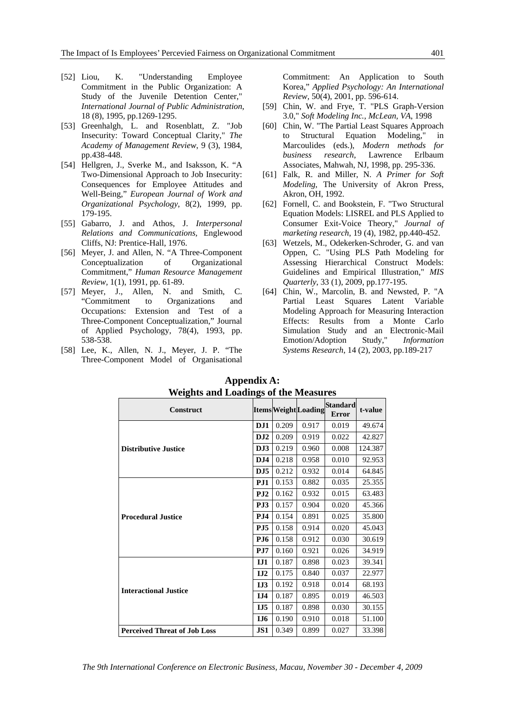- [52] Liou, K. "Understanding Employee
- Commitment in the Public Organization: A Study of the Juvenile Detention Center," *International Journal of Public Administration*, 18 (8), 1995, pp.1269-1295.
- [53] Greenhalgh, L. and Rosenblatt, Z. "Job Insecurity: Toward Conceptual Clarity," *The Academy of Management Review*, 9 (3), 1984, pp.438-448.
- [54] Hellgren, J., Sverke M., and Isaksson, K. "A Two-Dimensional Approach to Job Insecurity: Consequences for Employee Attitudes and Well-Being," *European Journal of Work and Organizational Psychology*, 8(2), 1999, pp. 179-195.
- [55] Gabarro, J. and Athos, J. *Interpersonal Relations and Communications,* Englewood Cliffs, NJ: Prentice-Hall, 1976.
- [56] Meyer, J. and Allen, N. "A Three-Component Conceptualization of Organizational Commitment," *Human Resource Management Review,* 1(1), 1991, pp. 61-89.
- [57] Meyer, J., Allen, N. and Smith, C. "Commitment to Organizations and Occupations: Extension and Test of a Three-Component Conceptualization," Journal of Applied Psychology, 78(4), 1993, pp. 538-538.
- [58] Lee, K., Allen, N. J., Meyer, J. P. "The Three-Component Model of Organisational

Commitment: An Application to South Korea," *Applied Psychology: An International Review,* 50(4), 2001, pp. 596-614.

- [59] Chin, W. and Frye, T. "PLS Graph-Version 3.0," *Soft Modeling Inc., McLean, VA*, 1998
- [60] Chin, W. "The Partial Least Squares Approach to Structural Equation Modeling," in Marcoulides (eds.), *Modern methods for business research*, Lawrence Erlbaum Associates, Mahwah, NJ, 1998, pp. 295-336.
- [61] Falk, R. and Miller, N. *A Primer for Soft Modeling*, The University of Akron Press, Akron, OH, 1992.
- [62] Fornell, C. and Bookstein, F. "Two Structural Equation Models: LISREL and PLS Applied to Consumer Exit-Voice Theory," *Journal of marketing research*, 19 (4), 1982, pp.440-452.
- [63] Wetzels, M., Odekerken-Schroder, G. and van Oppen, C. "Using PLS Path Modeling for Assessing Hierarchical Construct Models: Guidelines and Empirical Illustration," *MIS Quarterly*, 33 (1), 2009, pp.177-195.
- [64] Chin, W., Marcolin, B. and Newsted, P. "A Partial Least Squares Latent Variable Modeling Approach for Measuring Interaction Effects: Results from a Monte Carlo Simulation Study and an Electronic-Mail Emotion/Adoption Study," *Information Systems Research*, 14 (2), 2003, pp.189-217

| <b>Construct</b>                    |                  |       | <b>Items Weight Loading</b> | <b>Standard</b><br><b>Error</b> | t-value |
|-------------------------------------|------------------|-------|-----------------------------|---------------------------------|---------|
|                                     | DJ1              | 0.209 | 0.917                       | 0.019                           | 49.674  |
|                                     | D <sub>J</sub> 2 | 0.209 | 0.919                       | 0.022                           | 42.827  |
| <b>Distributive Justice</b>         | DJ3              | 0.219 | 0.960                       | 0.008                           | 124.387 |
|                                     | D <sub>J</sub> 4 | 0.218 | 0.958                       | 0.010                           | 92.953  |
|                                     | DJ <sub>5</sub>  | 0.212 | 0.932                       | 0.014                           | 64.845  |
|                                     | PJ1              | 0.153 | 0.882                       | 0.035                           | 25.355  |
|                                     | P <sub>J2</sub>  | 0.162 | 0.932                       | 0.015                           | 63.483  |
|                                     | PJ3              | 0.157 | 0.904                       | 0.020                           | 45.366  |
| <b>Procedural Justice</b>           | PJ4              | 0.154 | 0.891                       | 0.025                           | 35.800  |
|                                     | PJ5              | 0.158 | 0.914                       | 0.020                           | 45.043  |
|                                     | <b>PJ6</b>       | 0.158 | 0.912                       | 0.030                           | 30.619  |
|                                     | P <sub>J7</sub>  | 0.160 | 0.921                       | 0.026                           | 34.919  |
|                                     | IJI              | 0.187 | 0.898                       | 0.023                           | 39.341  |
|                                     | I <sub>J2</sub>  | 0.175 | 0.840                       | 0.037                           | 22.977  |
| <b>Interactional Justice</b>        | I <sub>J3</sub>  | 0.192 | 0.918                       | 0.014                           | 68.193  |
|                                     | I <sub>J</sub> 4 | 0.187 | 0.895                       | 0.019                           | 46.503  |
|                                     | I <sub>J5</sub>  | 0.187 | 0.898                       | 0.030                           | 30.155  |
|                                     | IJ6              | 0.190 | 0.910                       | 0.018                           | 51.100  |
| <b>Perceived Threat of Job Loss</b> | JS1              | 0.349 | 0.899                       | 0.027                           | 33.398  |

**Appendix A: Weights and Loadings of the Measures**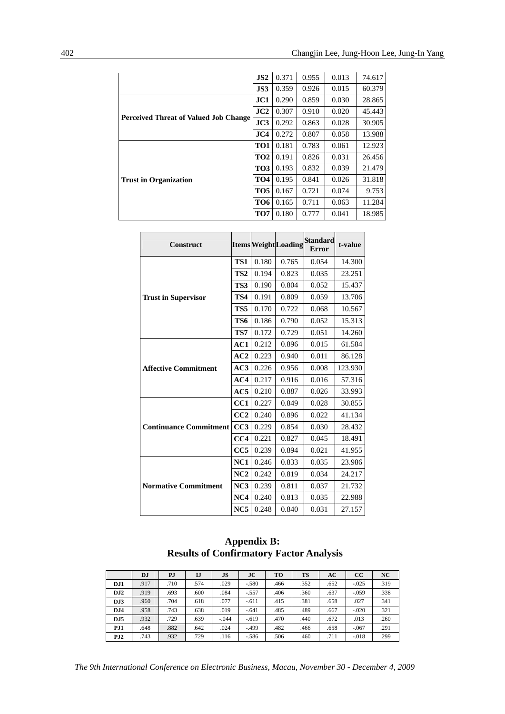|                                              | JS2             | 0.371 | 0.955 | 0.013 | 74.617 |
|----------------------------------------------|-----------------|-------|-------|-------|--------|
|                                              | JS3             | 0.359 | 0.926 | 0.015 | 60.379 |
|                                              | JC1             | 0.290 | 0.859 | 0.030 | 28.865 |
|                                              | JC2             | 0.307 | 0.910 | 0.020 | 45.443 |
| <b>Perceived Threat of Valued Job Change</b> |                 | 0.292 | 0.863 | 0.028 | 30.905 |
|                                              | JC4             | 0.272 | 0.807 | 0.058 | 13.988 |
|                                              | TO1             | 0.181 | 0.783 | 0.061 | 12.923 |
|                                              | TO <sub>2</sub> | 0.191 | 0.826 | 0.031 | 26.456 |
|                                              | TO <sub>3</sub> | 0.193 | 0.832 | 0.039 | 21.479 |
| <b>Trust in Organization</b>                 | TO <sub>4</sub> | 0.195 | 0.841 | 0.026 | 31.818 |
|                                              | TO <sub>5</sub> | 0.167 | 0.721 | 0.074 | 9.753  |
|                                              | TO <sub>6</sub> | 0.165 | 0.711 | 0.063 | 11.284 |
|                                              | TO7             | 0.180 | 0.777 | 0.041 | 18.985 |

| <b>Construct</b>              |                 |       | <b>ItemsWeightLoading</b> | <b>Standard</b><br><b>Error</b> | t-value |
|-------------------------------|-----------------|-------|---------------------------|---------------------------------|---------|
|                               | TS1             | 0.180 | 0.765                     | 0.054                           | 14.300  |
|                               | TS <sub>2</sub> | 0.194 | 0.823                     | 0.035                           | 23.251  |
|                               | TS3             | 0.190 | 0.804                     | 0.052                           | 15.437  |
| <b>Trust in Supervisor</b>    | TS4             | 0.191 | 0.809                     | 0.059                           | 13.706  |
|                               | TS <sub>5</sub> | 0.170 | 0.722                     | 0.068                           | 10.567  |
|                               | TS6             | 0.186 | 0.790                     | 0.052                           | 15.313  |
|                               | TS7             | 0.172 | 0.729                     | 0.051                           | 14.260  |
|                               | AC1             | 0.212 | 0.896                     | 0.015                           | 61.584  |
|                               | AC2             | 0.223 | 0.940                     | 0.011                           | 86.128  |
| <b>Affective Commitment</b>   | AC3             | 0.226 | 0.956                     | 0.008                           | 123.930 |
|                               | AC4             | 0.217 | 0.916                     | 0.016                           | 57.316  |
|                               | AC5             | 0.210 | 0.887                     | 0.026                           | 33.993  |
|                               | CC1             | 0.227 | 0.849                     | 0.028                           | 30.855  |
|                               | CC2             | 0.240 | 0.896                     | 0.022                           | 41.134  |
| <b>Continuance Commitment</b> | CC3             | 0.229 | 0.854                     | 0.030                           | 28.432  |
|                               | CC4             | 0.221 | 0.827                     | 0.045                           | 18.491  |
|                               | CC5             | 0.239 | 0.894                     | 0.021                           | 41.955  |
|                               | NC1             | 0.246 | 0.833                     | 0.035                           | 23.986  |
|                               | NC2             | 0.242 | 0.819                     | 0.034                           | 24.217  |
| <b>Normative Commitment</b>   | NC3             | 0.239 | 0.811                     | 0.037                           | 21.732  |
|                               | NC4             | 0.240 | 0.813                     | 0.035                           | 22.988  |
|                               | NC <sub>5</sub> | 0.248 | 0.840                     | 0.031                           | 27.157  |

# **Appendix B: Results of Confirmatory Factor Analysis**

|                  | DJ   | PJ   | IJ   | <b>JS</b> | $_{\rm JC}$ | T <sub>O</sub> | <b>TS</b> | AC   | $_{\rm CC}$ | NC   |
|------------------|------|------|------|-----------|-------------|----------------|-----------|------|-------------|------|
| DJ1              | .917 | .710 | .574 | .029      | $-.580$     | .466           | .352      | .652 | $-.025$     | .319 |
| DJ2              | .919 | .693 | .600 | .084      | $-.557$     | .406           | .360      | .637 | $-.059$     | .338 |
| DJ3              | .960 | .704 | .618 | .077      | $-.611$     | .415           | .381      | .658 | .027        | .341 |
| D <sub>J</sub> 4 | .958 | .743 | .638 | .019      | $-.641$     | .485           | .489      | .667 | $-.020$     | .321 |
| DJ5              | .932 | .729 | .639 | $-.044$   | $-.619$     | .470           | .440      | .672 | .013        | .260 |
| PJ1              | .648 | .882 | .642 | .024      | $-.499$     | .482           | .466      | .658 | $-.067$     | .291 |
| PJ2              | .743 | .932 | .729 | .116      | $-.586$     | .506           | .460      | .711 | $-.018$     | .299 |

*The 9th International Conference on Electronic Business, Macau, November 30 - December 4, 2009*